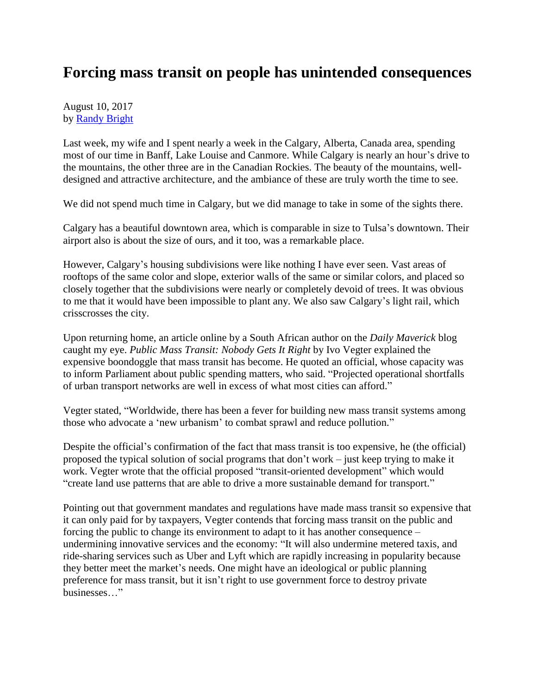## **Forcing mass transit on people has unintended consequences**

August 10, 2017 by [Randy Bright](http://tulsabeacon.com/writers/randy-bright/)

Last week, my wife and I spent nearly a week in the Calgary, Alberta, Canada area, spending most of our time in Banff, Lake Louise and Canmore. While Calgary is nearly an hour's drive to the mountains, the other three are in the Canadian Rockies. The beauty of the mountains, welldesigned and attractive architecture, and the ambiance of these are truly worth the time to see.

We did not spend much time in Calgary, but we did manage to take in some of the sights there.

Calgary has a beautiful downtown area, which is comparable in size to Tulsa's downtown. Their airport also is about the size of ours, and it too, was a remarkable place.

However, Calgary's housing subdivisions were like nothing I have ever seen. Vast areas of rooftops of the same color and slope, exterior walls of the same or similar colors, and placed so closely together that the subdivisions were nearly or completely devoid of trees. It was obvious to me that it would have been impossible to plant any. We also saw Calgary's light rail, which crisscrosses the city.

Upon returning home, an article online by a South African author on the *Daily Maverick* blog caught my eye. *Public Mass Transit: Nobody Gets It Right* by Ivo Vegter explained the expensive boondoggle that mass transit has become. He quoted an official, whose capacity was to inform Parliament about public spending matters, who said. "Projected operational shortfalls of urban transport networks are well in excess of what most cities can afford."

Vegter stated, "Worldwide, there has been a fever for building new mass transit systems among those who advocate a 'new urbanism' to combat sprawl and reduce pollution."

Despite the official's confirmation of the fact that mass transit is too expensive, he (the official) proposed the typical solution of social programs that don't work – just keep trying to make it work. Vegter wrote that the official proposed "transit-oriented development" which would "create land use patterns that are able to drive a more sustainable demand for transport."

Pointing out that government mandates and regulations have made mass transit so expensive that it can only paid for by taxpayers, Vegter contends that forcing mass transit on the public and forcing the public to change its environment to adapt to it has another consequence – undermining innovative services and the economy: "It will also undermine metered taxis, and ride-sharing services such as Uber and Lyft which are rapidly increasing in popularity because they better meet the market's needs. One might have an ideological or public planning preference for mass transit, but it isn't right to use government force to destroy private businesses…"